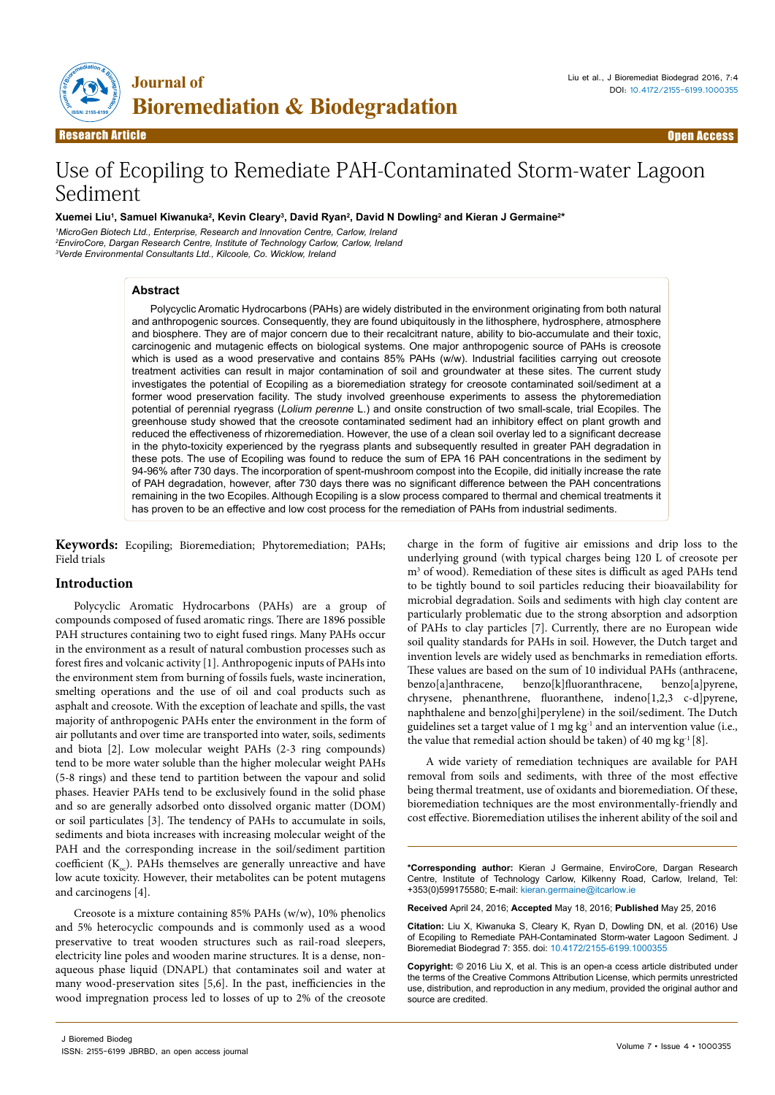

Research Article Open Access Research Article Open Access

# Use of Ecopiling to Remediate PAH-Contaminated Storm-water Lagoon Sediment

#### **Xuemei Liu1 , Samuel Kiwanuka2 , Kevin Cleary3 , David Ryan2 , David N Dowling2 and Kieran J Germaine2 \***

*1 MicroGen Biotech Ltd., Enterprise, Research and Innovation Centre, Carlow, Ireland 2 EnviroCore, Dargan Research Centre, Institute of Technology Carlow, Carlow, Ireland 3 Verde Environmental Consultants Ltd., Kilcoole, Co. Wicklow, Ireland*

#### **Abstract**

Polycyclic Aromatic Hydrocarbons (PAHs) are widely distributed in the environment originating from both natural and anthropogenic sources. Consequently, they are found ubiquitously in the lithosphere, hydrosphere, atmosphere and biosphere. They are of major concern due to their recalcitrant nature, ability to bio-accumulate and their toxic, carcinogenic and mutagenic effects on biological systems. One major anthropogenic source of PAHs is creosote which is used as a wood preservative and contains 85% PAHs (w/w). Industrial facilities carrying out creosote treatment activities can result in major contamination of soil and groundwater at these sites. The current study investigates the potential of Ecopiling as a bioremediation strategy for creosote contaminated soil/sediment at a former wood preservation facility. The study involved greenhouse experiments to assess the phytoremediation potential of perennial ryegrass (*Lolium perenne* L.) and onsite construction of two small-scale, trial Ecopiles. The greenhouse study showed that the creosote contaminated sediment had an inhibitory effect on plant growth and reduced the effectiveness of rhizoremediation. However, the use of a clean soil overlay led to a significant decrease in the phyto-toxicity experienced by the ryegrass plants and subsequently resulted in greater PAH degradation in these pots. The use of Ecopiling was found to reduce the sum of EPA 16 PAH concentrations in the sediment by 94-96% after 730 days. The incorporation of spent-mushroom compost into the Ecopile, did initially increase the rate of PAH degradation, however, after 730 days there was no significant difference between the PAH concentrations remaining in the two Ecopiles. Although Ecopiling is a slow process compared to thermal and chemical treatments it has proven to be an effective and low cost process for the remediation of PAHs from industrial sediments.

**Keywords:** Ecopiling; Bioremediation; Phytoremediation; PAHs; Field trials

# **Introduction**

Polycyclic Aromatic Hydrocarbons (PAHs) are a group of compounds composed of fused aromatic rings. There are 1896 possible PAH structures containing two to eight fused rings. Many PAHs occur in the environment as a result of natural combustion processes such as forest fires and volcanic activity [1]. Anthropogenic inputs of PAHs into the environment stem from burning of fossils fuels, waste incineration, smelting operations and the use of oil and coal products such as asphalt and creosote. With the exception of leachate and spills, the vast majority of anthropogenic PAHs enter the environment in the form of air pollutants and over time are transported into water, soils, sediments and biota [2]. Low molecular weight PAHs (2-3 ring compounds) tend to be more water soluble than the higher molecular weight PAHs (5-8 rings) and these tend to partition between the vapour and solid phases. Heavier PAHs tend to be exclusively found in the solid phase and so are generally adsorbed onto dissolved organic matter (DOM) or soil particulates [3]. The tendency of PAHs to accumulate in soils, sediments and biota increases with increasing molecular weight of the PAH and the corresponding increase in the soil/sediment partition coefficient  $(K_{c})$ . PAHs themselves are generally unreactive and have low acute toxicity. However, their metabolites can be potent mutagens and carcinogens [4].

Creosote is a mixture containing 85% PAHs (w/w), 10% phenolics and 5% heterocyclic compounds and is commonly used as a wood preservative to treat wooden structures such as rail-road sleepers, electricity line poles and wooden marine structures. It is a dense, nonaqueous phase liquid (DNAPL) that contaminates soil and water at many wood-preservation sites [5,6]. In the past, inefficiencies in the wood impregnation process led to losses of up to 2% of the creosote charge in the form of fugitive air emissions and drip loss to the underlying ground (with typical charges being 120 L of creosote per m<sup>3</sup> of wood). Remediation of these sites is difficult as aged PAHs tend to be tightly bound to soil particles reducing their bioavailability for microbial degradation. Soils and sediments with high clay content are particularly problematic due to the strong absorption and adsorption of PAHs to clay particles [7]. Currently, there are no European wide soil quality standards for PAHs in soil. However, the Dutch target and invention levels are widely used as benchmarks in remediation efforts. These values are based on the sum of 10 individual PAHs (anthracene, benzo[a]anthracene, benzo[k]fluoranthracene, benzo[a]pyrene, chrysene, phenanthrene, fluoranthene, indeno[1,2,3 c-d]pyrene, naphthalene and benzo[ghi]perylene) in the soil/sediment. The Dutch guidelines set a target value of 1 mg  $kg^{-1}$  and an intervention value (i.e., the value that remedial action should be taken) of 40 mg kg<sup>-1</sup> [8].

A wide variety of remediation techniques are available for PAH removal from soils and sediments, with three of the most effective being thermal treatment, use of oxidants and bioremediation. Of these, bioremediation techniques are the most environmentally-friendly and cost effective. Bioremediation utilises the inherent ability of the soil and

**\*Corresponding author:** Kieran J Germaine, EnviroCore, Dargan Research Centre, Institute of Technology Carlow, Kilkenny Road, Carlow, Ireland, Tel: +353(0)599175580; E-mail: kieran.germaine@itcarlow.ie

**Received** April 24, 2016; **Accepted** May 18, 2016; **Published** May 25, 2016

**Citation:** Liu X, Kiwanuka S, Cleary K, Ryan D, Dowling DN, et al. (2016) Use of Ecopiling to Remediate PAH-Contaminated Storm-water Lagoon Sediment. J Bioremediat Biodegrad 7: 355. doi: 10.4172/2155-6199.1000355

**Copyright:** © 2016 Liu X, et al. This is an open-a ccess article distributed under the terms of the Creative Commons Attribution License, which permits unrestricted use, distribution, and reproduction in any medium, provided the original author and source are credited.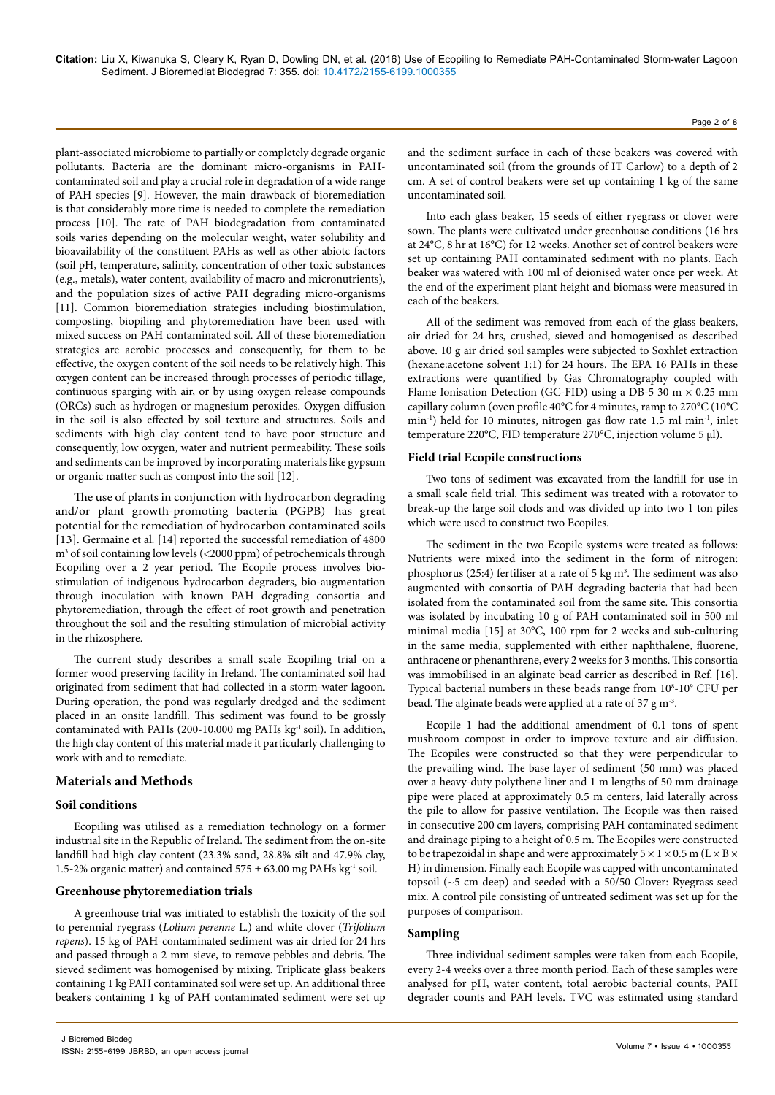plant-associated microbiome to partially or completely degrade organic pollutants. Bacteria are the dominant micro-organisms in PAHcontaminated soil and play a crucial role in degradation of a wide range of PAH species [9]. However, the main drawback of bioremediation is that considerably more time is needed to complete the remediation process [10]. The rate of PAH biodegradation from contaminated soils varies depending on the molecular weight, water solubility and bioavailability of the constituent PAHs as well as other abiotc factors (soil pH, temperature, salinity, concentration of other toxic substances (e.g., metals), water content, availability of macro and micronutrients), and the population sizes of active PAH degrading micro-organisms [11]. Common bioremediation strategies including biostimulation, composting, biopiling and phytoremediation have been used with mixed success on PAH contaminated soil. All of these bioremediation strategies are aerobic processes and consequently, for them to be effective, the oxygen content of the soil needs to be relatively high. This oxygen content can be increased through processes of periodic tillage, continuous sparging with air, or by using oxygen release compounds (ORCs) such as hydrogen or magnesium peroxides. Oxygen diffusion in the soil is also effected by soil texture and structures. Soils and sediments with high clay content tend to have poor structure and consequently, low oxygen, water and nutrient permeability. These soils and sediments can be improved by incorporating materials like gypsum or organic matter such as compost into the soil [12].

The use of plants in conjunction with hydrocarbon degrading and/or plant growth-promoting bacteria (PGPB) has great potential for the remediation of hydrocarbon contaminated soils [13]. Germaine et al. [14] reported the successful remediation of 4800 m3 of soil containing low levels (<2000 ppm) of petrochemicals through Ecopiling over a 2 year period. The Ecopile process involves biostimulation of indigenous hydrocarbon degraders, bio-augmentation through inoculation with known PAH degrading consortia and phytoremediation, through the effect of root growth and penetration throughout the soil and the resulting stimulation of microbial activity in the rhizosphere.

The current study describes a small scale Ecopiling trial on a former wood preserving facility in Ireland. The contaminated soil had originated from sediment that had collected in a storm-water lagoon. During operation, the pond was regularly dredged and the sediment placed in an onsite landfill. This sediment was found to be grossly contaminated with PAHs (200-10,000 mg PAHs kg<sup>-1</sup> soil). In addition, the high clay content of this material made it particularly challenging to work with and to remediate.

# **Materials and Methods**

### **Soil conditions**

Ecopiling was utilised as a remediation technology on a former industrial site in the Republic of Ireland. The sediment from the on-site landfill had high clay content (23.3% sand, 28.8% silt and 47.9% clay, 1.5-2% organic matter) and contained  $575 \pm 63.00$  mg PAHs kg<sup>-1</sup> soil.

### **Greenhouse phytoremediation trials**

A greenhouse trial was initiated to establish the toxicity of the soil to perennial ryegrass (*Lolium perenne* L.) and white clover (*Trifolium repens*). 15 kg of PAH-contaminated sediment was air dried for 24 hrs and passed through a 2 mm sieve, to remove pebbles and debris. The sieved sediment was homogenised by mixing. Triplicate glass beakers containing 1 kg PAH contaminated soil were set up. An additional three beakers containing 1 kg of PAH contaminated sediment were set up and the sediment surface in each of these beakers was covered with uncontaminated soil (from the grounds of IT Carlow) to a depth of 2 cm. A set of control beakers were set up containing 1 kg of the same uncontaminated soil.

Into each glass beaker, 15 seeds of either ryegrass or clover were sown. The plants were cultivated under greenhouse conditions (16 hrs at 24°C, 8 hr at 16°C) for 12 weeks. Another set of control beakers were set up containing PAH contaminated sediment with no plants. Each beaker was watered with 100 ml of deionised water once per week. At the end of the experiment plant height and biomass were measured in each of the beakers.

All of the sediment was removed from each of the glass beakers, air dried for 24 hrs, crushed, sieved and homogenised as described above. 10 g air dried soil samples were subjected to Soxhlet extraction (hexane:acetone solvent 1:1) for 24 hours. The EPA 16 PAHs in these extractions were quantified by Gas Chromatography coupled with Flame Ionisation Detection (GC-FID) using a DB-5 30 m  $\times$  0.25 mm capillary column (oven profile 40°C for 4 minutes, ramp to 270°C (10°C min<sup>-1</sup>) held for 10 minutes, nitrogen gas flow rate 1.5 ml min<sup>-1</sup>, inlet temperature 220°C, FID temperature 270°C, injection volume 5 µl).

### **Field trial Ecopile constructions**

Two tons of sediment was excavated from the landfill for use in a small scale field trial. This sediment was treated with a rotovator to break-up the large soil clods and was divided up into two 1 ton piles which were used to construct two Ecopiles.

The sediment in the two Ecopile systems were treated as follows: Nutrients were mixed into the sediment in the form of nitrogen: phosphorus (25:4) fertiliser at a rate of 5 kg  $m<sup>3</sup>$ . The sediment was also augmented with consortia of PAH degrading bacteria that had been isolated from the contaminated soil from the same site. This consortia was isolated by incubating 10 g of PAH contaminated soil in 500 ml minimal media [15] at 30°C, 100 rpm for 2 weeks and sub-culturing in the same media, supplemented with either naphthalene, fluorene, anthracene or phenanthrene, every 2 weeks for 3 months. This consortia was immobilised in an alginate bead carrier as described in Ref. [16]. Typical bacterial numbers in these beads range from  $10^8$ -10<sup>9</sup> CFU per bead. The alginate beads were applied at a rate of 37 g m-3.

Ecopile 1 had the additional amendment of 0.1 tons of spent mushroom compost in order to improve texture and air diffusion. The Ecopiles were constructed so that they were perpendicular to the prevailing wind. The base layer of sediment (50 mm) was placed over a heavy-duty polythene liner and 1 m lengths of 50 mm drainage pipe were placed at approximately 0.5 m centers, laid laterally across the pile to allow for passive ventilation. The Ecopile was then raised in consecutive 200 cm layers, comprising PAH contaminated sediment and drainage piping to a height of 0.5 m. The Ecopiles were constructed to be trapezoidal in shape and were approximately  $5 \times 1 \times 0.5$  m ( $L \times B \times$ H) in dimension. Finally each Ecopile was capped with uncontaminated topsoil (~5 cm deep) and seeded with a 50/50 Clover: Ryegrass seed mix. A control pile consisting of untreated sediment was set up for the purposes of comparison.

### **Sampling**

Three individual sediment samples were taken from each Ecopile, every 2-4 weeks over a three month period. Each of these samples were analysed for pH, water content, total aerobic bacterial counts, PAH degrader counts and PAH levels. TVC was estimated using standard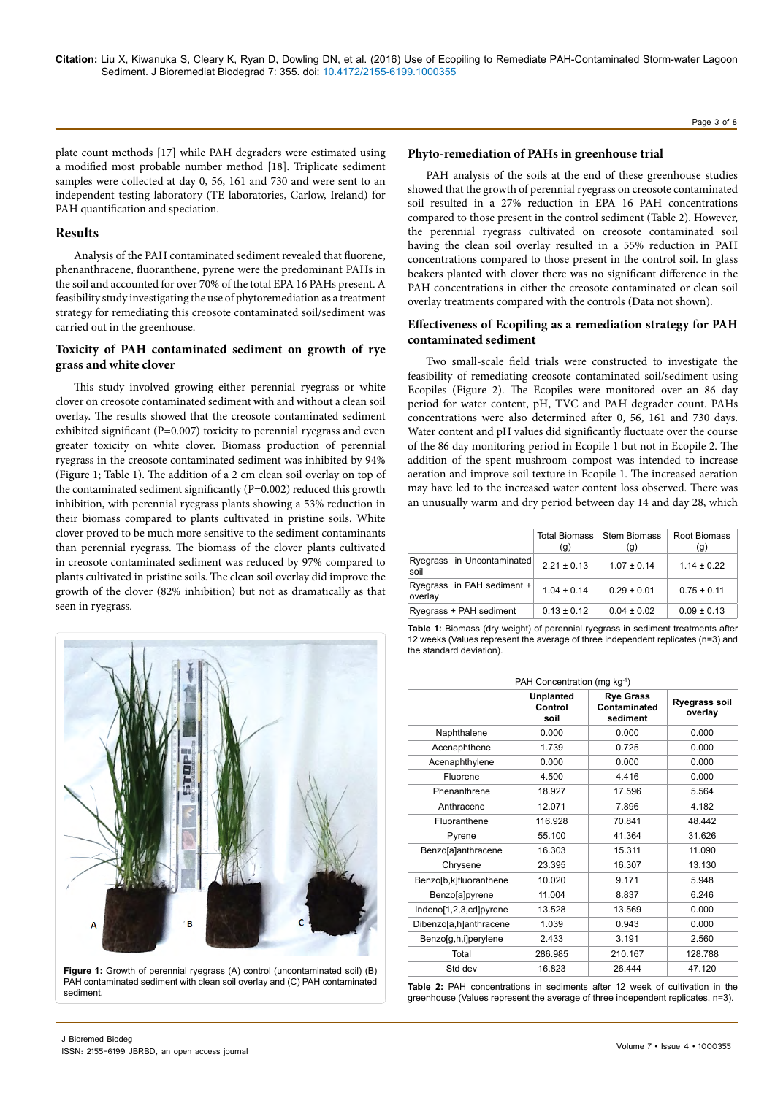plate count methods [17] while PAH degraders were estimated using a modified most probable number method [18]. Triplicate sediment samples were collected at day 0, 56, 161 and 730 and were sent to an independent testing laboratory (TE laboratories, Carlow, Ireland) for PAH quantification and speciation.

## **Results**

Analysis of the PAH contaminated sediment revealed that fluorene, phenanthracene, fluoranthene, pyrene were the predominant PAHs in the soil and accounted for over 70% of the total EPA 16 PAHs present. A feasibility study investigating the use of phytoremediation as a treatment strategy for remediating this creosote contaminated soil/sediment was carried out in the greenhouse.

# **Toxicity of PAH contaminated sediment on growth of rye grass and white clover**

This study involved growing either perennial ryegrass or white clover on creosote contaminated sediment with and without a clean soil overlay. The results showed that the creosote contaminated sediment exhibited significant (P=0.007) toxicity to perennial ryegrass and even greater toxicity on white clover. Biomass production of perennial ryegrass in the creosote contaminated sediment was inhibited by 94% (Figure 1; Table 1). The addition of a 2 cm clean soil overlay on top of the contaminated sediment significantly (P=0.002) reduced this growth inhibition, with perennial ryegrass plants showing a 53% reduction in their biomass compared to plants cultivated in pristine soils. White clover proved to be much more sensitive to the sediment contaminants than perennial ryegrass. The biomass of the clover plants cultivated in creosote contaminated sediment was reduced by 97% compared to plants cultivated in pristine soils. The clean soil overlay did improve the growth of the clover (82% inhibition) but not as dramatically as that seen in ryegrass.



Figure 1: Growth of perennial ryegrass (A) control (uncontaminated soil) (B) PAH contaminated sediment with clean soil overlay and (C) PAH contaminated sediment.

#### **Phyto-remediation of PAHs in greenhouse trial**

PAH analysis of the soils at the end of these greenhouse studies showed that the growth of perennial ryegrass on creosote contaminated soil resulted in a 27% reduction in EPA 16 PAH concentrations compared to those present in the control sediment (Table 2). However, the perennial ryegrass cultivated on creosote contaminated soil having the clean soil overlay resulted in a 55% reduction in PAH concentrations compared to those present in the control soil. In glass beakers planted with clover there was no significant difference in the PAH concentrations in either the creosote contaminated or clean soil overlay treatments compared with the controls (Data not shown).

## **Effectiveness of Ecopiling as a remediation strategy for PAH contaminated sediment**

Two small-scale field trials were constructed to investigate the feasibility of remediating creosote contaminated soil/sediment using Ecopiles (Figure 2). The Ecopiles were monitored over an 86 day period for water content, pH, TVC and PAH degrader count. PAHs concentrations were also determined after 0, 56, 161 and 730 days. Water content and pH values did significantly fluctuate over the course of the 86 day monitoring period in Ecopile 1 but not in Ecopile 2. The addition of the spent mushroom compost was intended to increase aeration and improve soil texture in Ecopile 1. The increased aeration may have led to the increased water content loss observed. There was an unusually warm and dry period between day 14 and day 28, which

|                                       | (q)             | Total Biomass   Stem Biomass<br>(g) | Root Biomass<br>(q) |
|---------------------------------------|-----------------|-------------------------------------|---------------------|
| Ryegrass in Uncontaminated<br>soil    | $2.21 \pm 0.13$ | $1.07 \pm 0.14$                     | $1.14 \pm 0.22$     |
| Ryegrass in PAH sediment +<br>overlay | $1.04 \pm 0.14$ | $0.29 \pm 0.01$                     | $0.75 \pm 0.11$     |
| Ryegrass + PAH sediment               | $0.13 \pm 0.12$ | $0.04 \pm 0.02$                     | $0.09 \pm 0.13$     |

**Table 1:** Biomass (dry weight) of perennial ryegrass in sediment treatments after 12 weeks (Values represent the average of three independent replicates (n=3) and the standard deviation).

| PAH Concentration (mg kg-1) |                                     |                                              |                          |  |  |  |
|-----------------------------|-------------------------------------|----------------------------------------------|--------------------------|--|--|--|
|                             | <b>Unplanted</b><br>Control<br>soil | <b>Rye Grass</b><br>Contaminated<br>sediment | Ryegrass soil<br>overlay |  |  |  |
| Naphthalene                 | 0.000                               | 0.000                                        | 0.000                    |  |  |  |
| Acenaphthene                | 1.739                               | 0.725                                        | 0.000                    |  |  |  |
| Acenaphthylene              | 0.000                               | 0.000                                        | 0.000                    |  |  |  |
| Fluorene                    | 4.500                               | 4.416                                        | 0.000                    |  |  |  |
| Phenanthrene                | 18.927                              | 17.596                                       | 5.564                    |  |  |  |
| Anthracene                  | 12.071                              | 7.896                                        | 4.182                    |  |  |  |
| Fluoranthene                | 116.928                             | 70.841                                       | 48.442                   |  |  |  |
| Pyrene                      | 55.100                              | 41.364                                       | 31.626                   |  |  |  |
| Benzo[a]anthracene          | 16.303                              | 15.311                                       | 11.090                   |  |  |  |
| Chrysene                    | 23.395                              | 16.307                                       | 13.130                   |  |  |  |
| Benzo[b,k]fluoranthene      | 10.020                              | 9.171                                        | 5.948                    |  |  |  |
| Benzo[a]pyrene              | 11.004                              | 8.837                                        | 6.246                    |  |  |  |
| Indeno[1,2,3,cd]pyrene      | 13.528                              | 13.569                                       | 0.000                    |  |  |  |
| Dibenzo[a,h]anthracene      | 1.039                               | 0.943                                        | 0.000                    |  |  |  |
| Benzo[g,h,i]perylene        | 2.433                               | 3.191                                        | 2.560                    |  |  |  |
| Total                       | 286.985                             | 210.167                                      | 128.788                  |  |  |  |
| Std dev                     | 16.823                              | 26.444                                       | 47.120                   |  |  |  |

**Table 2:** PAH concentrations in sediments after 12 week of cultivation in the greenhouse (Values represent the average of three independent replicates, n=3).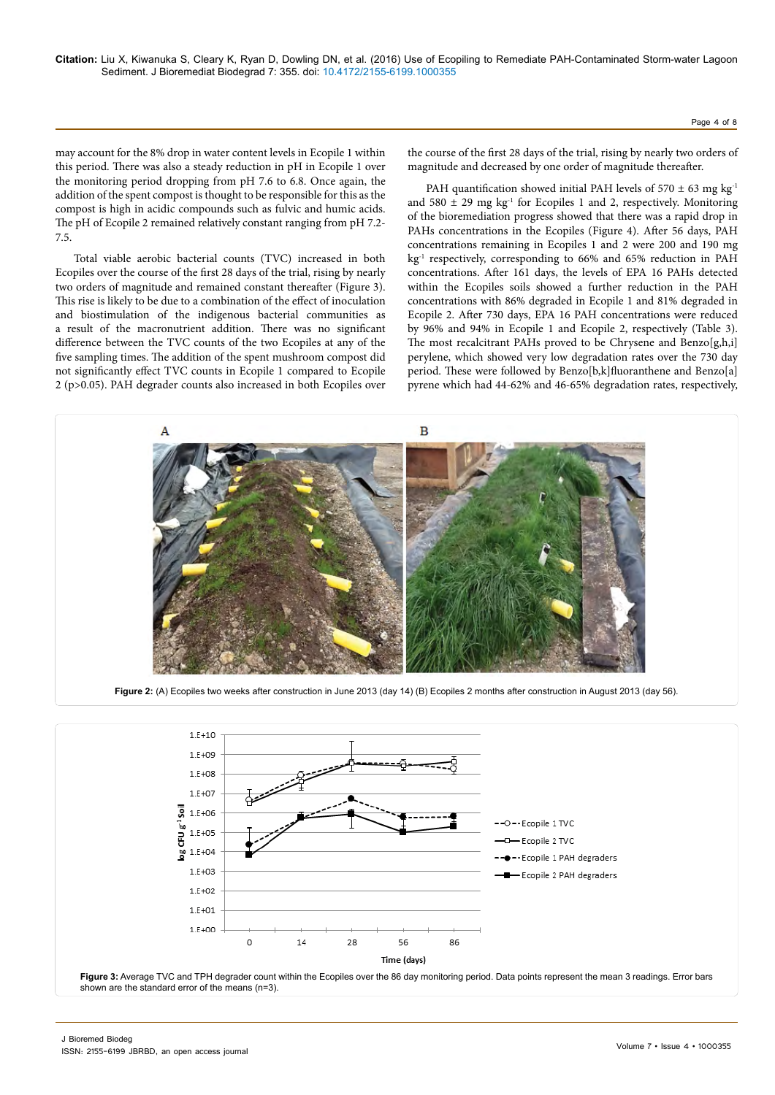Page 4 of 8

may account for the 8% drop in water content levels in Ecopile 1 within this period. There was also a steady reduction in pH in Ecopile 1 over the monitoring period dropping from pH 7.6 to 6.8. Once again, the addition of the spent compost is thought to be responsible for this as the compost is high in acidic compounds such as fulvic and humic acids. The pH of Ecopile 2 remained relatively constant ranging from pH 7.2- 7.5.

Total viable aerobic bacterial counts (TVC) increased in both Ecopiles over the course of the first 28 days of the trial, rising by nearly two orders of magnitude and remained constant thereafter (Figure 3). This rise is likely to be due to a combination of the effect of inoculation and biostimulation of the indigenous bacterial communities as a result of the macronutrient addition. There was no significant difference between the TVC counts of the two Ecopiles at any of the five sampling times. The addition of the spent mushroom compost did not significantly effect TVC counts in Ecopile 1 compared to Ecopile 2 (p>0.05). PAH degrader counts also increased in both Ecopiles over

the course of the first 28 days of the trial, rising by nearly two orders of magnitude and decreased by one order of magnitude thereafter.

PAH quantification showed initial PAH levels of 570  $\pm$  63 mg kg<sup>-1</sup> and  $580 \pm 29$  mg kg<sup>-1</sup> for Ecopiles 1 and 2, respectively. Monitoring of the bioremediation progress showed that there was a rapid drop in PAHs concentrations in the Ecopiles (Figure 4). After 56 days, PAH concentrations remaining in Ecopiles 1 and 2 were 200 and 190 mg kg-1 respectively, corresponding to 66% and 65% reduction in PAH concentrations. After 161 days, the levels of EPA 16 PAHs detected within the Ecopiles soils showed a further reduction in the PAH concentrations with 86% degraded in Ecopile 1 and 81% degraded in Ecopile 2. After 730 days, EPA 16 PAH concentrations were reduced by 96% and 94% in Ecopile 1 and Ecopile 2, respectively (Table 3). The most recalcitrant PAHs proved to be Chrysene and Benzo[g,h,i] perylene, which showed very low degradation rates over the 730 day period. These were followed by Benzo[b,k]fluoranthene and Benzo[a] pyrene which had 44-62% and 46-65% degradation rates, respectively,



Figure 2: (A) Ecopiles two weeks after construction in June 2013 (day 14) (B) Ecopiles 2 months after construction in August 2013 (day 56).



J Bioremed Biodeg ISSN: 2155-6199 JBRBD, an open access journal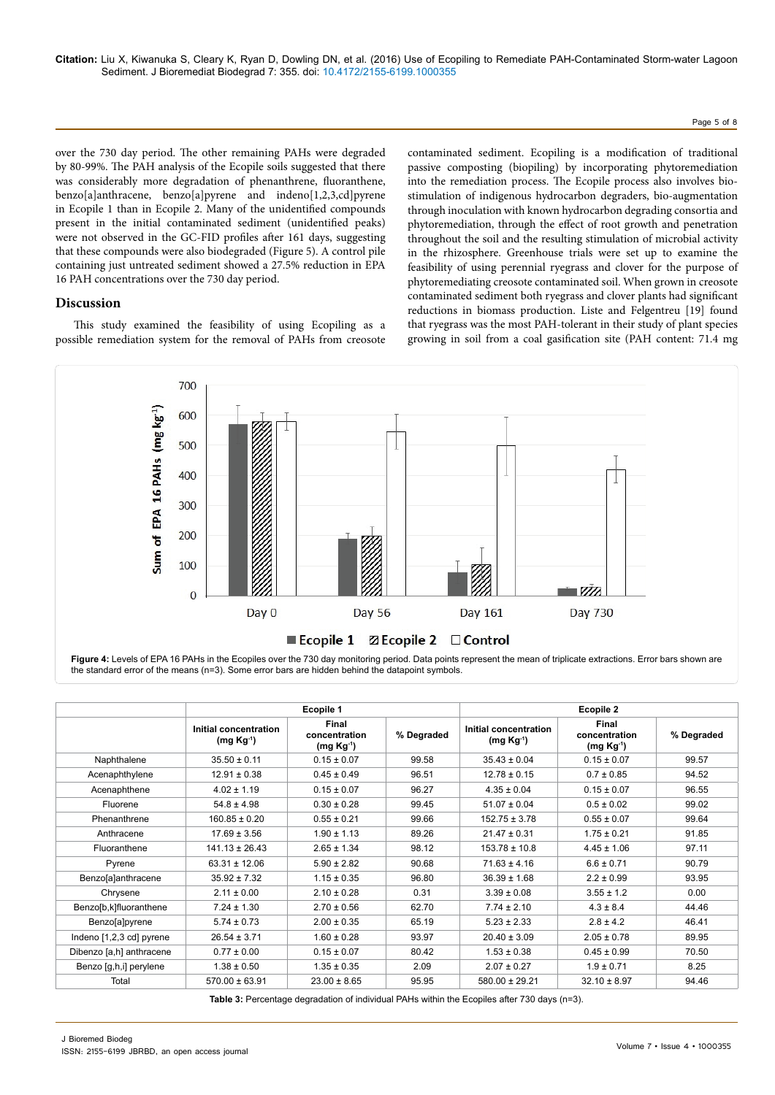**Citation:** Liu X, Kiwanuka S, Cleary K, Ryan D, Dowling DN, et al. (2016) Use of Ecopiling to Remediate PAH-Contaminated Storm-water Lagoon Sediment. J Bioremediat Biodegrad 7: 355. doi: 10.4172/2155-6199.1000355

#### Page 5 of 8

over the 730 day period. The other remaining PAHs were degraded by 80-99%. The PAH analysis of the Ecopile soils suggested that there was considerably more degradation of phenanthrene, fluoranthene, benzo[a]anthracene, benzo[a]pyrene and indeno[1,2,3,cd]pyrene in Ecopile 1 than in Ecopile 2. Many of the unidentified compounds present in the initial contaminated sediment (unidentified peaks) were not observed in the GC-FID profiles after 161 days, suggesting that these compounds were also biodegraded (Figure 5). A control pile containing just untreated sediment showed a 27.5% reduction in EPA 16 PAH concentrations over the 730 day period.

### **Discussion**

This study examined the feasibility of using Ecopiling as a possible remediation system for the removal of PAHs from creosote

contaminated sediment. Ecopiling is a modification of traditional passive composting (biopiling) by incorporating phytoremediation into the remediation process. The Ecopile process also involves biostimulation of indigenous hydrocarbon degraders, bio-augmentation through inoculation with known hydrocarbon degrading consortia and phytoremediation, through the effect of root growth and penetration throughout the soil and the resulting stimulation of microbial activity in the rhizosphere. Greenhouse trials were set up to examine the feasibility of using perennial ryegrass and clover for the purpose of phytoremediating creosote contaminated soil. When grown in creosote contaminated sediment both ryegrass and clover plants had significant reductions in biomass production. Liste and Felgentreu [19] found that ryegrass was the most PAH-tolerant in their study of plant species growing in soil from a coal gasification site (PAH content: 71.4 mg



Figure 4: Levels of EPA 16 PAHs in the Ecopiles over the 730 day monitoring period. Data points represent the mean of triplicate extractions. Error bars shown are the standard error of the means (n=3). Some error bars are hidden behind the datapoint symbols.

|                            | Ecopile 1                               |                                          |            | Ecopile 2                               |                                          |            |
|----------------------------|-----------------------------------------|------------------------------------------|------------|-----------------------------------------|------------------------------------------|------------|
|                            | Initial concentration<br>$(mg Kg^{-1})$ | Final<br>concentration<br>$(mg Kg^{-1})$ | % Degraded | Initial concentration<br>$(mg Kg^{-1})$ | Final<br>concentration<br>$(mg Kg^{-1})$ | % Degraded |
| Naphthalene                | $35.50 \pm 0.11$                        | $0.15 \pm 0.07$                          | 99.58      | $35.43 \pm 0.04$                        | $0.15 \pm 0.07$                          | 99.57      |
| Acenaphthylene             | $12.91 \pm 0.38$                        | $0.45 \pm 0.49$                          | 96.51      | $12.78 \pm 0.15$                        | $0.7 \pm 0.85$                           | 94.52      |
| Acenaphthene               | $4.02 \pm 1.19$                         | $0.15 \pm 0.07$                          | 96.27      | $4.35 \pm 0.04$                         | $0.15 \pm 0.07$                          | 96.55      |
| Fluorene                   | $54.8 \pm 4.98$                         | $0.30 \pm 0.28$                          | 99.45      | $51.07 \pm 0.04$                        | $0.5 \pm 0.02$                           | 99.02      |
| Phenanthrene               | $160.85 \pm 0.20$                       | $0.55 \pm 0.21$                          | 99.66      | $152.75 \pm 3.78$                       | $0.55 \pm 0.07$                          | 99.64      |
| Anthracene                 | $17.69 \pm 3.56$                        | $1.90 \pm 1.13$                          | 89.26      | $21.47 \pm 0.31$                        | $1.75 \pm 0.21$                          | 91.85      |
| Fluoranthene               | $141.13 \pm 26.43$                      | $2.65 \pm 1.34$                          | 98.12      | $153.78 \pm 10.8$                       | $4.45 \pm 1.06$                          | 97.11      |
| Pyrene                     | $63.31 \pm 12.06$                       | $5.90 \pm 2.82$                          | 90.68      | $71.63 \pm 4.16$                        | $6.6 \pm 0.71$                           | 90.79      |
| <b>Benzo</b> [a]anthracene | $35.92 \pm 7.32$                        | $1.15 \pm 0.35$                          | 96.80      | $36.39 \pm 1.68$                        | $2.2 \pm 0.99$                           | 93.95      |
| Chrysene                   | $2.11 \pm 0.00$                         | $2.10 \pm 0.28$                          | 0.31       | $3.39 \pm 0.08$                         | $3.55 \pm 1.2$                           | 0.00       |
| Benzo[b,k]fluoranthene     | $7.24 \pm 1.30$                         | $2.70 \pm 0.56$                          | 62.70      | $7.74 \pm 2.10$                         | $4.3 \pm 8.4$                            | 44.46      |
| Benzo[a]pyrene             | $5.74 \pm 0.73$                         | $2.00 \pm 0.35$                          | 65.19      | $5.23 \pm 2.33$                         | $2.8 \pm 4.2$                            | 46.41      |
| Indeno [1,2,3 cd] pyrene   | $26.54 \pm 3.71$                        | $1.60 \pm 0.28$                          | 93.97      | $20.40 \pm 3.09$                        | $2.05 \pm 0.78$                          | 89.95      |
| Dibenzo [a,h] anthracene   | $0.77 \pm 0.00$                         | $0.15 \pm 0.07$                          | 80.42      | $1.53 \pm 0.38$                         | $0.45 \pm 0.99$                          | 70.50      |
| Benzo [g,h,i] perylene     | $1.38 \pm 0.50$                         | $1.35 \pm 0.35$                          | 2.09       | $2.07 \pm 0.27$                         | $1.9 \pm 0.71$                           | 8.25       |
| Total                      | $570.00 \pm 63.91$                      | $23.00 \pm 8.65$                         | 95.95      | 580.00 ± 29.21                          | $32.10 \pm 8.97$                         | 94.46      |

**Table 3:** Percentage degradation of individual PAHs within the Ecopiles after 730 days (n=3).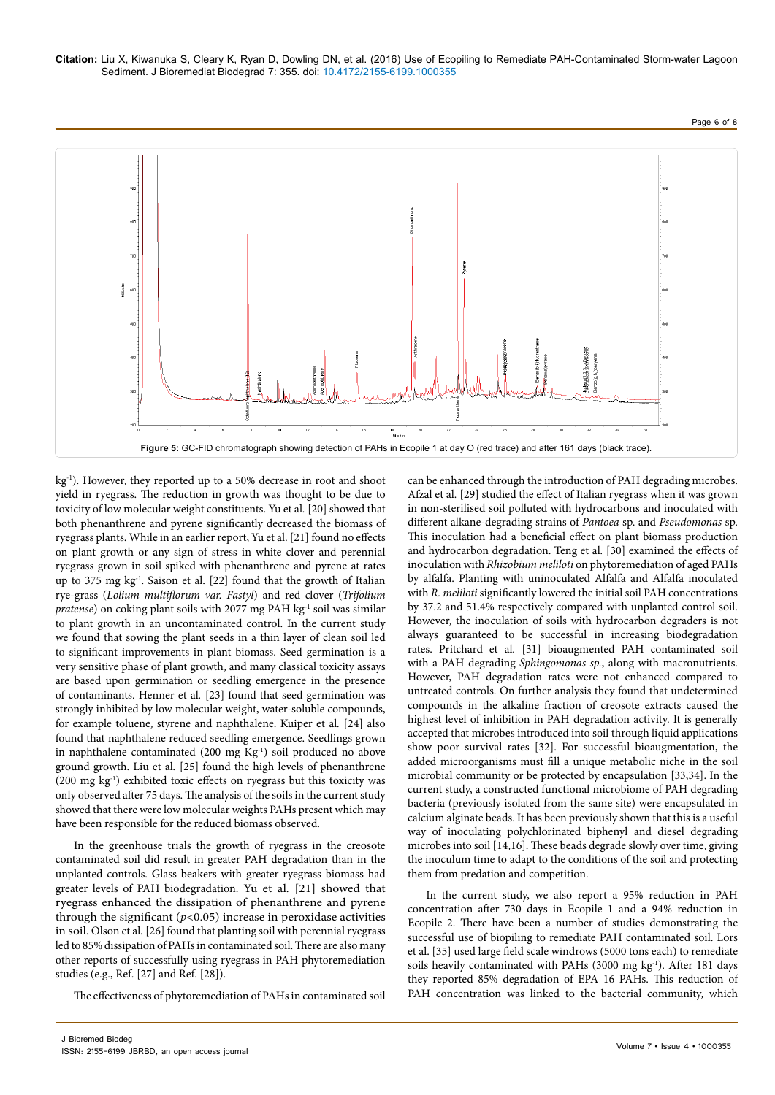**Citation:** Liu X, Kiwanuka S, Cleary K, Ryan D, Dowling DN, et al. (2016) Use of Ecopiling to Remediate PAH-Contaminated Storm-water Lagoon Sediment. J Bioremediat Biodegrad 7: 355. doi: 10.4172/2155-6199.1000355

**Figure 5:** GC-FID chromatograph showing detection of PAHs in Ecopile 1 at day O (red trace) and after 161 days (black trace).

kg<sup>-1</sup>). However, they reported up to a 50% decrease in root and shoot yield in ryegrass. The reduction in growth was thought to be due to toxicity of low molecular weight constituents. Yu et al*.* [20] showed that both phenanthrene and pyrene significantly decreased the biomass of ryegrass plants. While in an earlier report, Yu et al. [21] found no effects on plant growth or any sign of stress in white clover and perennial ryegrass grown in soil spiked with phenanthrene and pyrene at rates up to 375 mg kg-1. Saison et al. [22] found that the growth of Italian rye-grass (*Lolium multiflorum var. Fastyl*) and red clover (*Trifolium pratense*) on coking plant soils with 2077 mg PAH kg<sup>-1</sup> soil was similar to plant growth in an uncontaminated control. In the current study we found that sowing the plant seeds in a thin layer of clean soil led to significant improvements in plant biomass. Seed germination is a very sensitive phase of plant growth, and many classical toxicity assays are based upon germination or seedling emergence in the presence of contaminants. Henner et al*.* [23] found that seed germination was strongly inhibited by low molecular weight, water-soluble compounds, for example toluene, styrene and naphthalene. Kuiper et al*.* [24] also found that naphthalene reduced seedling emergence. Seedlings grown in naphthalene contaminated (200 mg Kg-1) soil produced no above ground growth. Liu et al*.* [25] found the high levels of phenanthrene (200 mg kg-1) exhibited toxic effects on ryegrass but this toxicity was only observed after 75 days. The analysis of the soils in the current study showed that there were low molecular weights PAHs present which may have been responsible for the reduced biomass observed.

In the greenhouse trials the growth of ryegrass in the creosote contaminated soil did result in greater PAH degradation than in the unplanted controls. Glass beakers with greater ryegrass biomass had greater levels of PAH biodegradation. Yu et al*.* [21] showed that ryegrass enhanced the dissipation of phenanthrene and pyrene through the significant  $(p<0.05)$  increase in peroxidase activities in soil. Olson et al*.* [26] found that planting soil with perennial ryegrass led to 85% dissipation of PAHs in contaminated soil. There are also many other reports of successfully using ryegrass in PAH phytoremediation studies (e.g., Ref. [27] and Ref. [28]).

The effectiveness of phytoremediation of PAHs in contaminated soil

can be enhanced through the introduction of PAH degrading microbes. Afzal et al*.* [29] studied the effect of Italian ryegrass when it was grown in non-sterilised soil polluted with hydrocarbons and inoculated with different alkane-degrading strains of *Pantoea* sp. and *Pseudomonas* sp. This inoculation had a beneficial effect on plant biomass production and hydrocarbon degradation. Teng et al*.* [30] examined the effects of inoculation with *Rhizobium meliloti* on phytoremediation of aged PAHs by alfalfa. Planting with uninoculated Alfalfa and Alfalfa inoculated with *R. meliloti* significantly lowered the initial soil PAH concentrations by 37.2 and 51.4% respectively compared with unplanted control soil. However, the inoculation of soils with hydrocarbon degraders is not always guaranteed to be successful in increasing biodegradation rates. Pritchard et al*.* [31] bioaugmented PAH contaminated soil with a PAH degrading *Sphingomonas sp.*, along with macronutrients. However, PAH degradation rates were not enhanced compared to untreated controls. On further analysis they found that undetermined compounds in the alkaline fraction of creosote extracts caused the highest level of inhibition in PAH degradation activity. It is generally accepted that microbes introduced into soil through liquid applications show poor survival rates [32]. For successful bioaugmentation, the added microorganisms must fill a unique metabolic niche in the soil microbial community or be protected by encapsulation [33,34]. In the current study, a constructed functional microbiome of PAH degrading bacteria (previously isolated from the same site) were encapsulated in calcium alginate beads. It has been previously shown that this is a useful way of inoculating polychlorinated biphenyl and diesel degrading microbes into soil [14,16]. These beads degrade slowly over time, giving the inoculum time to adapt to the conditions of the soil and protecting them from predation and competition.

In the current study, we also report a 95% reduction in PAH concentration after 730 days in Ecopile 1 and a 94% reduction in Ecopile 2. There have been a number of studies demonstrating the successful use of biopiling to remediate PAH contaminated soil. Lors et al. [35] used large field scale windrows (5000 tons each) to remediate soils heavily contaminated with PAHs (3000 mg kg<sup>-1</sup>). After 181 days they reported 85% degradation of EPA 16 PAHs. This reduction of PAH concentration was linked to the bacterial community, which

Page 6 of 8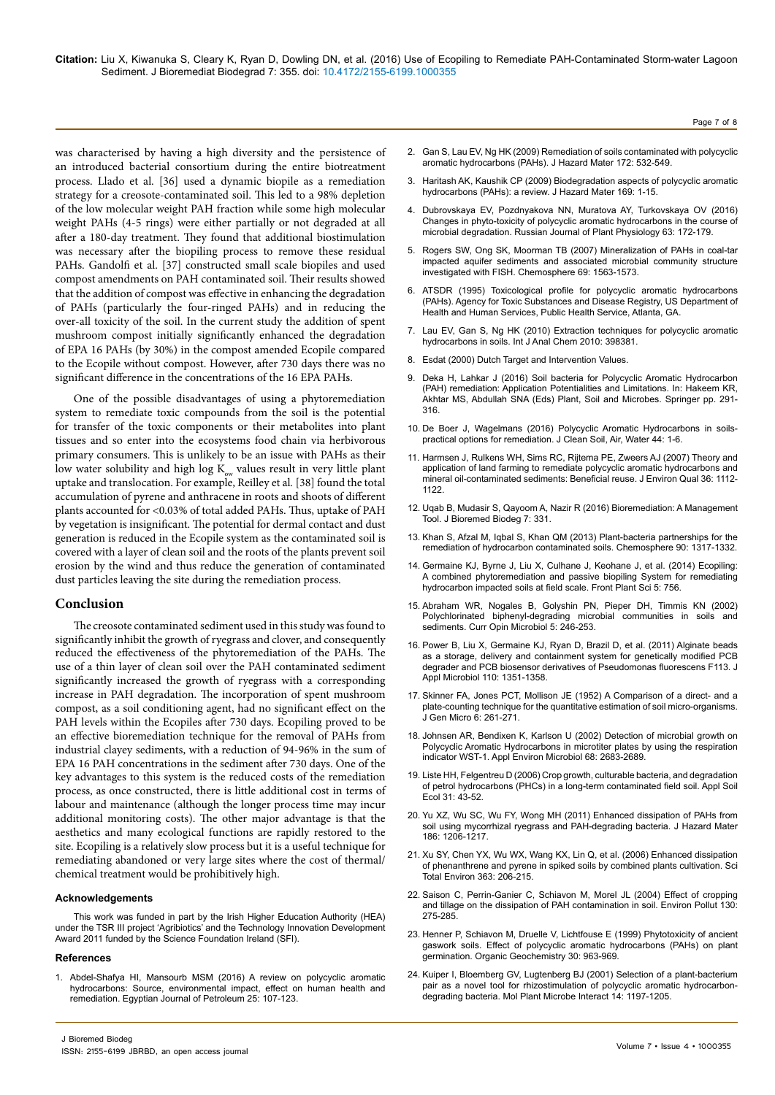was characterised by having a high diversity and the persistence of an introduced bacterial consortium during the entire biotreatment process. Llado et al. [36] used a dynamic biopile as a remediation strategy for a creosote-contaminated soil. This led to a 98% depletion of the low molecular weight PAH fraction while some high molecular weight PAHs (4-5 rings) were either partially or not degraded at all after a 180-day treatment. They found that additional biostimulation was necessary after the biopiling process to remove these residual PAHs. Gandolfi et al. [37] constructed small scale biopiles and used compost amendments on PAH contaminated soil. Their results showed that the addition of compost was effective in enhancing the degradation of PAHs (particularly the four-ringed PAHs) and in reducing the over-all toxicity of the soil. In the current study the addition of spent mushroom compost initially significantly enhanced the degradation of EPA 16 PAHs (by 30%) in the compost amended Ecopile compared to the Ecopile without compost. However, after 730 days there was no significant difference in the concentrations of the 16 EPA PAHs.

One of the possible disadvantages of using a phytoremediation system to remediate toxic compounds from the soil is the potential for transfer of the toxic components or their metabolites into plant tissues and so enter into the ecosystems food chain via herbivorous primary consumers. This is unlikely to be an issue with PAHs as their low water solubility and high log  $K_{\text{ow}}$  values result in very little plant uptake and translocation. For example, Reilley et al*.* [38] found the total accumulation of pyrene and anthracene in roots and shoots of different plants accounted for <0.03% of total added PAHs. Thus, uptake of PAH by vegetation is insignificant. The potential for dermal contact and dust generation is reduced in the Ecopile system as the contaminated soil is covered with a layer of clean soil and the roots of the plants prevent soil erosion by the wind and thus reduce the generation of contaminated dust particles leaving the site during the remediation process.

### **Conclusion**

The creosote contaminated sediment used in this study was found to significantly inhibit the growth of ryegrass and clover, and consequently reduced the effectiveness of the phytoremediation of the PAHs. The use of a thin layer of clean soil over the PAH contaminated sediment significantly increased the growth of ryegrass with a corresponding increase in PAH degradation. The incorporation of spent mushroom compost, as a soil conditioning agent, had no significant effect on the PAH levels within the Ecopiles after 730 days. Ecopiling proved to be an effective bioremediation technique for the removal of PAHs from industrial clayey sediments, with a reduction of 94-96% in the sum of EPA 16 PAH concentrations in the sediment after 730 days. One of the key advantages to this system is the reduced costs of the remediation process, as once constructed, there is little additional cost in terms of labour and maintenance (although the longer process time may incur additional monitoring costs). The other major advantage is that the aesthetics and many ecological functions are rapidly restored to the site. Ecopiling is a relatively slow process but it is a useful technique for remediating abandoned or very large sites where the cost of thermal/ chemical treatment would be prohibitively high.

#### **Acknowledgements**

This work was funded in part by the Irish Higher Education Authority (HEA) under the TSR III project 'Agribiotics' and the Technology Innovation Development Award 2011 funded by the Science Foundation Ireland (SFI).

#### **References**

1. [Abdel-Shafya HI, Mansourb MSM \(2016\) A review on polycyclic aromatic](http://www.sciencedirect.com/science/article/pii/S1110062114200237) [hydrocarbons: Source, environmental impact, effect on human health and](http://www.sciencedirect.com/science/article/pii/S1110062114200237) [remediation. Egyptian Journal of Petroleum 25: 107-123.](http://www.sciencedirect.com/science/article/pii/S1110062114200237)

2. [Gan S, Lau EV, Ng HK \(2009\) Remediation of soils contaminated with polycyclic](http://www.ncbi.nlm.nih.gov/pubmed/19700241)  [aromatic hydrocarbons \(PAHs\). J Hazard Mater 172: 532-549.](http://www.ncbi.nlm.nih.gov/pubmed/19700241)

Page 7 of 8

- 3. [Haritash AK, Kaushik CP \(2009\) Biodegradation aspects of polycyclic aromatic](http://www.ncbi.nlm.nih.gov/pubmed/19442441)  [hydrocarbons \(PAHs\): a review. J Hazard Mater 169: 1-15.](http://www.ncbi.nlm.nih.gov/pubmed/19442441)
- 4. [Dubrovskaya EV, Pozdnyakova NN, Muratova AY, Turkovskaya OV \(2016\)](http://link.springer.com/article/10.1134%2FS1021443716010052)  [Changes in phyto-toxicity of polycyclic aromatic hydrocarbons in the course of](http://link.springer.com/article/10.1134%2FS1021443716010052)  [microbial degradation. Russian Journal of Plant Physiology 63: 172-179.](http://link.springer.com/article/10.1134%2FS1021443716010052)
- 5. [Rogers SW, Ong SK, Moorman TB \(2007\) Mineralization of PAHs in coal-tar](http://www.sciencedirect.com/science/article/pii/S0045653507007163)  [impacted aquifer sediments and associated microbial community structure](http://www.sciencedirect.com/science/article/pii/S0045653507007163)  [investigated with FISH. Chemosphere 69: 1563-1573.](http://www.sciencedirect.com/science/article/pii/S0045653507007163)
- 6. [ATSDR \(1995\) Toxicological profile for polycyclic aromatic hydrocarbons](http://www.atsdr.cdc.gov/toxprofiles/tp.asp?id=122&tid=25)  [\(PAHs\). Agency for Toxic Substances and Disease Registry, US Department of](http://www.atsdr.cdc.gov/toxprofiles/tp.asp?id=122&tid=25)  [Health and Human Services, Public Health Service, Atlanta, GA.](http://www.atsdr.cdc.gov/toxprofiles/tp.asp?id=122&tid=25)
- 7. [Lau EV, Gan S, Ng HK \(2010\) Extraction techniques for polycyclic aromatic](http://www.ncbi.nlm.nih.gov/pubmed/20396670)  [hydrocarbons in soils. Int J Anal Chem 2010: 398381.](http://www.ncbi.nlm.nih.gov/pubmed/20396670)
- 8. [Esdat \(2000\) Dutch Target and Intervention Values.](http://www.esdat.net/Environmental_Standards.aspx)
- Deka H, Lahkar J (2016) Soil bacteria for Polycyclic Aromatic Hydrocarbon [\(PAH\) remediation: Application Potentialities and Limitations. In: Hakeem KR,](http://link.springer.com/chapter/10.1007%2F978-3-319-27455-3_15)  [Akhtar MS, Abdullah SNA \(Eds\) Plant, Soil and Microbes. Springer pp. 291-](http://link.springer.com/chapter/10.1007%2F978-3-319-27455-3_15) [316.](http://link.springer.com/chapter/10.1007%2F978-3-319-27455-3_15)
- 10. [De Boer J, Wagelmans \(2016\) Polycyclic Aromatic Hydrocarbons in soils](http://onlinelibrary.wiley.com/doi/10.1002/clen.201500199/abstract)[practical options for remediation. J Clean Soil, Air, Water 44: 1-6.](http://onlinelibrary.wiley.com/doi/10.1002/clen.201500199/abstract)
- 11. [Harmsen J, Rulkens WH, Sims RC, Rijtema PE, Zweers AJ \(2007\) Theory and](http://www.ncbi.nlm.nih.gov/pubmed/17596619)  [application of land farming to remediate polycyclic aromatic hydrocarbons and](http://www.ncbi.nlm.nih.gov/pubmed/17596619)  [mineral oil-contaminated sediments: Beneficial reuse. J Environ Qual 36: 1112-](http://www.ncbi.nlm.nih.gov/pubmed/17596619) [1122.](http://www.ncbi.nlm.nih.gov/pubmed/17596619)
- 12. [Uqab B, Mudasir S, Qayoom A, Nazir R \(2016\) Bioremediation: A Management](http://www.omicsonline.org/open-access/bioremediation-a-management-tool-2155-6199-1000331.php?aid=69578)  [Tool. J Bioremed Biodeg 7: 331.](http://www.omicsonline.org/open-access/bioremediation-a-management-tool-2155-6199-1000331.php?aid=69578)
- 13. [Khan S, Afzal M, Iqbal S, Khan QM \(2013\) Plant-bacteria partnerships for the](http://www.ncbi.nlm.nih.gov/pubmed/23058201)  [remediation of hydrocarbon contaminated soils. Chemosphere 90: 1317-1332.](http://www.ncbi.nlm.nih.gov/pubmed/23058201)
- 14. [Germaine KJ, Byrne J, Liu X, Culhane J, Keohane J, et al. \(2014\) Ecopiling:](http://www.ncbi.nlm.nih.gov/pubmed/25601875)  [A combined phytoremediation and passive biopiling System for remediating](http://www.ncbi.nlm.nih.gov/pubmed/25601875)  [hydrocarbon impacted soils at field scale. Front Plant Sci 5: 756.](http://www.ncbi.nlm.nih.gov/pubmed/25601875)
- 15. [Abraham WR, Nogales B, Golyshin PN, Pieper DH, Timmis KN \(2002\)](http://www.ncbi.nlm.nih.gov/pubmed/12057677)  [Polychlorinated biphenyl-degrading microbial communities in soils and](http://www.ncbi.nlm.nih.gov/pubmed/12057677)  [sediments. Curr Opin Microbiol 5: 246-253.](http://www.ncbi.nlm.nih.gov/pubmed/12057677)
- 16. [Power B, Liu X, Germaine KJ, Ryan D, Brazil D, et al. \(2011\) Alginate beads](http://www.ncbi.nlm.nih.gov/pubmed/21395945)  [as a storage, delivery and containment system for genetically modified PCB](http://www.ncbi.nlm.nih.gov/pubmed/21395945)  [degrader and PCB biosensor derivatives of Pseudomonas fluorescens F113. J](http://www.ncbi.nlm.nih.gov/pubmed/21395945)  [Appl Microbiol 110: 1351-1358.](http://www.ncbi.nlm.nih.gov/pubmed/21395945)
- 17. [Skinner FA, Jones PCT, Mollison JE \(1952\) A Comparison of a direct- and a](http://mic.microbiologyresearch.org/content/journal/micro/10.1099/00221287-6-3-4-261)  [plate-counting technique for the quantitative estimation of soil micro-organisms.](http://mic.microbiologyresearch.org/content/journal/micro/10.1099/00221287-6-3-4-261)  [J Gen Micro 6: 261-271.](http://mic.microbiologyresearch.org/content/journal/micro/10.1099/00221287-6-3-4-261)
- 18. [Johnsen AR, Bendixen K, Karlson U \(2002\) Detection of microbial growth on](http://www.ncbi.nlm.nih.gov/pubmed/12039720)  [Polycyclic Aromatic Hydrocarbons in microtiter plates by using the respiration](http://www.ncbi.nlm.nih.gov/pubmed/12039720)  [indicator WST-1. Appl Environ Microbiol 68: 2683-2689.](http://www.ncbi.nlm.nih.gov/pubmed/12039720)
- 19. [Liste HH, Felgentreu D \(2006\) Crop growth, culturable bacteria, and degradation](http://www.sciencedirect.com/science/article/pii/S0929139305000971)  [of petrol hydrocarbons \(PHCs\) in a long-term contaminated field soil. Appl Soil](http://www.sciencedirect.com/science/article/pii/S0929139305000971)  [Ecol 31: 43-52.](http://www.sciencedirect.com/science/article/pii/S0929139305000971)
- 20. [Yu XZ, Wu SC, Wu FY, Wong MH \(2011\) Enhanced dissipation of PAHs from](http://www.ncbi.nlm.nih.gov/pubmed/21176862)  [soil using mycorrhizal ryegrass and PAH-degrading bacteria. J Hazard Mater](http://www.ncbi.nlm.nih.gov/pubmed/21176862)  [186: 1206-1217.](http://www.ncbi.nlm.nih.gov/pubmed/21176862)
- 21. [Xu SY, Chen YX, Wu WX, Wang KX, Lin Q, et al. \(2006\) Enhanced dissipation](http://www.ncbi.nlm.nih.gov/pubmed/15985280)  [of phenanthrene and pyrene in spiked soils by combined plants cultivation. Sci](http://www.ncbi.nlm.nih.gov/pubmed/15985280)  [Total Environ 363: 206-215.](http://www.ncbi.nlm.nih.gov/pubmed/15985280)
- 22. [Saison C, Perrin-Ganier C, Schiavon M, Morel JL \(2004\) Effect of cropping](http://www.ncbi.nlm.nih.gov/pubmed/15158040)  [and tillage on the dissipation of PAH contamination in soil. Environ Pollut 130:](http://www.ncbi.nlm.nih.gov/pubmed/15158040)  [275-285.](http://www.ncbi.nlm.nih.gov/pubmed/15158040)
- 23. [Henner P, Schiavon M, Druelle V, Lichtfouse E \(1999\) Phytotoxicity of ancient](http://www.sciencedirect.com/science/article/pii/S0146638099000807)  [gaswork soils. Effect of polycyclic aromatic hydrocarbons \(PAHs\) on plant](http://www.sciencedirect.com/science/article/pii/S0146638099000807)  [germination. Organic Geochemistry 30: 963-969.](http://www.sciencedirect.com/science/article/pii/S0146638099000807)
- 24. [Kuiper I, Bloemberg GV, Lugtenberg BJ \(2001\) Selection of a plant-bacterium](http://www.ncbi.nlm.nih.gov/pubmed/11605959)  [pair as a novel tool for rhizostimulation of polycyclic aromatic hydrocarbon](http://www.ncbi.nlm.nih.gov/pubmed/11605959)[degrading bacteria. Mol Plant Microbe Interact 14: 1197-1205.](http://www.ncbi.nlm.nih.gov/pubmed/11605959)